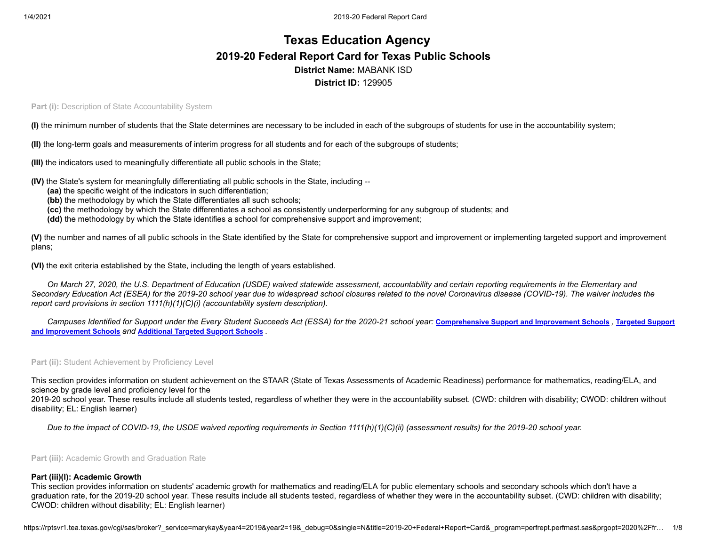# **Texas Education Agency 2019-20 Federal Report Card for Texas Public Schools District Name:** MABANK ISD **District ID:** 129905

**Part (i): Description of State Accountability System** 

**(I)** the minimum number of students that the State determines are necessary to be included in each of the subgroups of students for use in the accountability system;

**(II)** the long-term goals and measurements of interim progress for all students and for each of the subgroups of students;

**(III)** the indicators used to meaningfully differentiate all public schools in the State;

- **(IV)** the State's system for meaningfully differentiating all public schools in the State, including --
	- **(aa)** the specific weight of the indicators in such differentiation;
	- **(bb)** the methodology by which the State differentiates all such schools;
	- **(cc)** the methodology by which the State differentiates a school as consistently underperforming for any subgroup of students; and
	- **(dd)** the methodology by which the State identifies a school for comprehensive support and improvement;

**(V)** the number and names of all public schools in the State identified by the State for comprehensive support and improvement or implementing targeted support and improvement plans;

**(VI)** the exit criteria established by the State, including the length of years established.

*On March 27, 2020, the U.S. Department of Education (USDE) waived statewide assessment, accountability and certain reporting requirements in the Elementary and Secondary Education Act (ESEA) for the 2019-20 school year due to widespread school closures related to the novel Coronavirus disease (COVID-19). The waiver includes the report card provisions in section 1111(h)(1)(C)(i) (accountability system description).*

[Campuses Identified for Support under the Every Student Succeeds Act \(ESSA\) for the 2020-21 school year:](https://tea.texas.gov/sites/default/files/targeted_support_2020.xlsx) [Comprehensive](https://tea.texas.gov/sites/default/files/comprehensive_support_2020.xlsx) Support and Improvement Schools, Targeted Support **and Improvement Schools** *and* **[Additional](https://tea.texas.gov/sites/default/files/additional_targeted_support_2020.xlsx) Targeted Support Schools** *.*

**Part (ii):** Student Achievement by Proficiency Level

This section provides information on student achievement on the STAAR (State of Texas Assessments of Academic Readiness) performance for mathematics, reading/ELA, and science by grade level and proficiency level for the

2019-20 school year. These results include all students tested, regardless of whether they were in the accountability subset. (CWD: children with disability; CWOD: children without disability; EL: English learner)

*Due to the impact of COVID-19, the USDE waived reporting requirements in Section 1111(h)(1)(C)(ii) (assessment results) for the 2019-20 school year.*

**Part (iii):** Academic Growth and Graduation Rate

#### **Part (iii)(I): Academic Growth**

This section provides information on students' academic growth for mathematics and reading/ELA for public elementary schools and secondary schools which don't have a graduation rate, for the 2019-20 school year. These results include all students tested, regardless of whether they were in the accountability subset. (CWD: children with disability; CWOD: children without disability; EL: English learner)

https://rptsvr1.tea.texas.gov/cgi/sas/broker?\_service=marykay&year4=2019&year2=19&\_debug=0&single=N&title=2019-20+Federal+Report+Card&\_program=perfrept.perfmast.sas&prgopt=2020%2Ffr... 1/8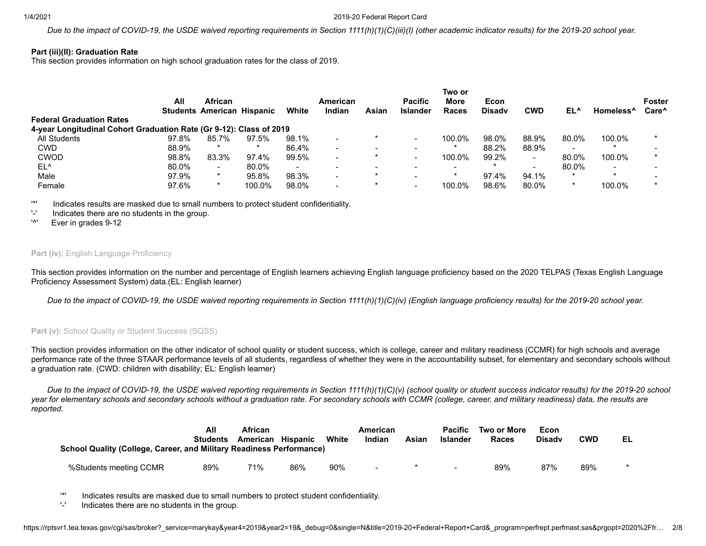#### 1/4/2021 2019-20 Federal Report Card

*Due to the impact of COVID-19, the USDE waived reporting requirements in Section 1111(h)(1)(C)(iii)(I) (other academic indicator results) for the 2019-20 school year.*

### **Part (iii)(II): Graduation Rate**

This section provides information on high school graduation rates for the class of 2019.

|                                                                     | All   | <b>African</b>                    |         |        | American |                          | <b>Pacific</b>           | Two or<br>More           | Econ          |            |                          |                          | <b>Foster</b>     |
|---------------------------------------------------------------------|-------|-----------------------------------|---------|--------|----------|--------------------------|--------------------------|--------------------------|---------------|------------|--------------------------|--------------------------|-------------------|
|                                                                     |       | <b>Students American Hispanic</b> |         | White  | Indian   | Asian                    | <b>Islander</b>          | Races                    | <b>Disady</b> | <b>CWD</b> | EL^                      | Homeless <sup>^</sup>    | Care <sup>^</sup> |
| <b>Federal Graduation Rates</b>                                     |       |                                   |         |        |          |                          |                          |                          |               |            |                          |                          |                   |
| 4-year Longitudinal Cohort Graduation Rate (Gr 9-12): Class of 2019 |       |                                   |         |        |          |                          |                          |                          |               |            |                          |                          |                   |
| All Students                                                        | 97.8% | 85.7%                             | 97.5%   | 98.1%  | -        | *                        |                          | 100.0%                   | 98.0%         | 88.9%      | 80.0%                    | 100.0%                   |                   |
| <b>CWD</b>                                                          | 88.9% | $\star$                           | $\star$ | 86.4%  | -        | $\,$                     |                          |                          | 88.2%         | 88.9%      | $\overline{\phantom{a}}$ |                          |                   |
| <b>CWOD</b>                                                         | 98.8% | 83.3%                             | 97.4%   | 99.5%  |          |                          |                          | 100.0%                   | 99.2%         | -          | 80.0%                    | 100.0%                   |                   |
| EL <sup>^</sup>                                                     | 80.0% | $\overline{\phantom{a}}$          | 80.0%   | $\sim$ | -        | $\overline{\phantom{0}}$ | $\overline{\phantom{0}}$ | $\overline{\phantom{0}}$ |               |            | 80.0%                    | $\overline{\phantom{0}}$ |                   |
| Male                                                                | 97.9% |                                   | 95.8%   | 98.3%  | -        | *                        |                          |                          | 97.4%         | 94.1%      |                          | $\star$                  |                   |
| Female                                                              | 97.6% |                                   | 100.0%  | 98.0%  | -        |                          |                          | 100.0%                   | 98.6%         | 80.0%      |                          | 100.0%                   |                   |

'\*' Indicates results are masked due to small numbers to protect student confidentiality.

'-' Indicates there are no students in the group.

'^' Ever in grades 9-12

#### **Part (iv): English Language Proficiency**

This section provides information on the number and percentage of English learners achieving English language proficiency based on the 2020 TELPAS (Texas English Language Proficiency Assessment System) data.(EL: English learner)

*Due to the impact of COVID-19, the USDE waived reporting requirements in Section 1111(h)(1)(C)(iv) (English language proficiency results) for the 2019-20 school year.*

#### Part (v): School Quality or Student Success (SQSS)

This section provides information on the other indicator of school quality or student success, which is college, career and military readiness (CCMR) for high schools and average performance rate of the three STAAR performance levels of all students, regardless of whether they were in the accountability subset, for elementary and secondary schools without a graduation rate. (CWD: children with disability; EL: English learner)

*Due to the impact of COVID-19, the USDE waived reporting requirements in Section 1111(h)(1)(C)(v) (school quality or student success indicator results) for the 2019-20 school year for elementary schools and secondary schools without a graduation rate. For secondary schools with CCMR (college, career, and military readiness) data, the results are reported.*

| <b>School Quality (College, Career, and Military Readiness Performance)</b> | All<br><b>Students</b> | <b>African</b><br>American Hispanic |     | White | American<br>Indian | Asian | <b>Pacific</b><br><b>Islander</b> | Two or More<br>Races | Econ<br><b>Disady</b> | <b>CWD</b> | EL |
|-----------------------------------------------------------------------------|------------------------|-------------------------------------|-----|-------|--------------------|-------|-----------------------------------|----------------------|-----------------------|------------|----|
| %Students meeting CCMR                                                      | 89%                    | 71%                                 | 86% | 90%   | $\blacksquare$     |       |                                   | 89%                  | 87%                   | 89%        |    |

'\*' Indicates results are masked due to small numbers to protect student confidentiality.

'-' Indicates there are no students in the group.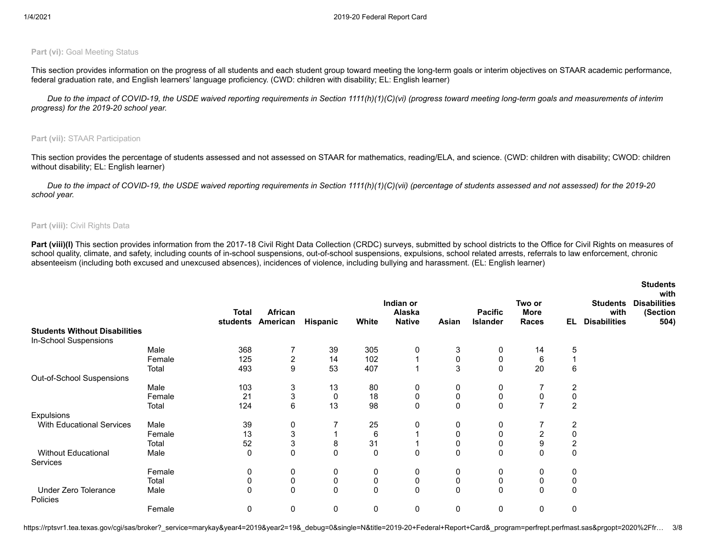### **Part (vi): Goal Meeting Status**

This section provides information on the progress of all students and each student group toward meeting the long-term goals or interim objectives on STAAR academic performance, federal graduation rate, and English learners' language proficiency. (CWD: children with disability; EL: English learner)

*Due to the impact of COVID-19, the USDE waived reporting requirements in Section 1111(h)(1)(C)(vi) (progress toward meeting long-term goals and measurements of interim progress) for the 2019-20 school year.*

### **Part (vii):** STAAR Participation

This section provides the percentage of students assessed and not assessed on STAAR for mathematics, reading/ELA, and science. (CWD: children with disability; CWOD: children without disability; EL: English learner)

*Due to the impact of COVID-19, the USDE waived reporting requirements in Section 1111(h)(1)(C)(vii) (percentage of students assessed and not assessed) for the 2019-20 school year.*

#### **Part (viii):** Civil Rights Data

Part (viii)(I) This section provides information from the 2017-18 Civil Right Data Collection (CRDC) surveys, submitted by school districts to the Office for Civil Rights on measures of school quality, climate, and safety, including counts of in-school suspensions, out-of-school suspensions, expulsions, school related arrests, referrals to law enforcement, chronic absenteeism (including both excused and unexcused absences), incidences of violence, including bullying and harassment. (EL: English learner)

|                                         |        |          |                  |              |       |                     |          |                 |                       |                         |                         | <b>Students</b><br>with         |
|-----------------------------------------|--------|----------|------------------|--------------|-------|---------------------|----------|-----------------|-----------------------|-------------------------|-------------------------|---------------------------------|
|                                         |        | Total    | <b>African</b>   |              |       | Indian or<br>Alaska |          | <b>Pacific</b>  | Two or<br><b>More</b> |                         | <b>Students</b><br>with | <b>Disabilities</b><br>(Section |
|                                         |        | students | American         | Hispanic     | White | <b>Native</b>       | Asian    | <b>Islander</b> | Races                 | EL.                     | <b>Disabilities</b>     | 504)                            |
| <b>Students Without Disabilities</b>    |        |          |                  |              |       |                     |          |                 |                       |                         |                         |                                 |
| In-School Suspensions                   |        |          |                  |              |       |                     |          |                 |                       |                         |                         |                                 |
|                                         | Male   | 368      |                  | 39           | 305   | 0                   | 3        | 0               | 14                    | 5                       |                         |                                 |
|                                         | Female | 125      | $\overline{c}$   | 14           | 102   |                     | 0        | 0               | 6                     |                         |                         |                                 |
|                                         | Total  | 493      | $\boldsymbol{9}$ | 53           | 407   |                     | 3        | $\mathbf 0$     | 20                    | 6                       |                         |                                 |
| Out-of-School Suspensions               |        |          |                  |              |       |                     |          |                 |                       |                         |                         |                                 |
|                                         | Male   | 103      | 3                | 13           | 80    | 0                   | 0        | 0               |                       | 2                       |                         |                                 |
|                                         | Female | 21       | 3                | 0            | 18    | 0                   | 0        | 0               | 0                     | 0                       |                         |                                 |
|                                         | Total  | 124      | $\,6\,$          | 13           | 98    | 0                   | 0        | $\mathbf 0$     | $\overline{ }$        | $\overline{2}$          |                         |                                 |
| <b>Expulsions</b>                       |        |          |                  |              |       |                     |          |                 |                       |                         |                         |                                 |
| <b>With Educational Services</b>        | Male   | 39       | 0                |              | 25    | 0                   | 0        | 0               |                       | $\overline{2}$          |                         |                                 |
|                                         | Female | 13       | 3                |              | 6     |                     | 0        | 0               | $\overline{2}$        | 0                       |                         |                                 |
|                                         | Total  | 52       | 3                | 8            | 31    |                     | 0        | 0               | 9                     | $\overline{\mathbf{c}}$ |                         |                                 |
| Without Educational                     | Male   | 0        | $\mathbf 0$      | $\mathbf{0}$ | 0     | 0                   | 0        | $\mathbf 0$     | 0                     | 0                       |                         |                                 |
| Services                                |        |          |                  |              |       |                     |          |                 |                       |                         |                         |                                 |
|                                         | Female | 0        | 0                | 0            | 0     | 0                   | 0        | 0               | 0                     | 0                       |                         |                                 |
|                                         | Total  | 0        | $\pmb{0}$        | 0            | 0     | 0                   | 0        | $\pmb{0}$       | 0                     | 0                       |                         |                                 |
| Under Zero Tolerance<br><b>Policies</b> | Male   | 0        | $\mathbf 0$      | $\mathbf{0}$ | 0     | 0                   | $\Omega$ | $\mathbf 0$     | 0                     | $\mathbf 0$             |                         |                                 |
|                                         | Female | 0        | $\pmb{0}$        | 0            | 0     | 0                   | 0        | 0               | 0                     | 0                       |                         |                                 |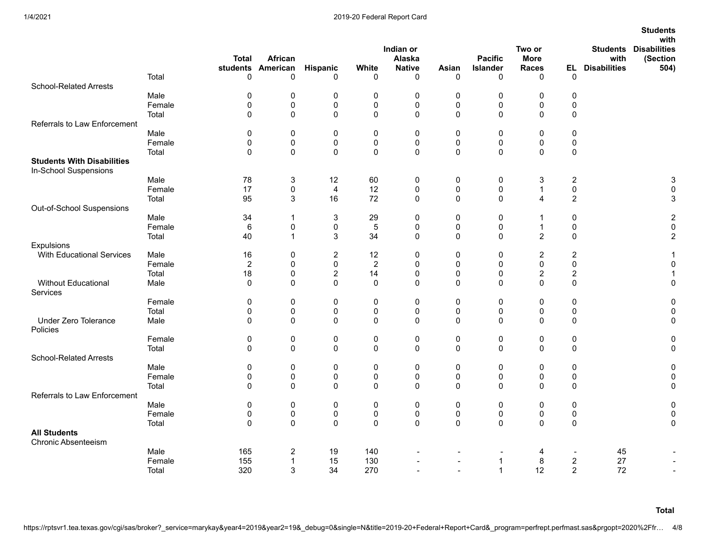| Indian or<br><b>Disabilities</b><br>Two or<br><b>Students</b><br>African<br>Alaska<br><b>Pacific</b><br><b>More</b><br>with<br>(Section<br><b>Total</b><br><b>Hispanic</b><br><b>Native</b><br><b>EL</b> Disabilities<br>students<br>American<br>White<br>Asian<br>Islander<br><b>Races</b><br>504)<br>Total<br>$\Omega$<br>0<br>0<br>$\mathbf 0$<br>$\Omega$<br>0<br>0<br>0<br>0<br><b>School-Related Arrests</b><br>Male<br>$\pmb{0}$<br>0<br>$\pmb{0}$<br>$\pmb{0}$<br>0<br>$\pmb{0}$<br>0<br>0<br>0<br>$\mathbf 0$<br>0<br>$\mathsf 0$<br>0<br>$\pmb{0}$<br>0<br>$\pmb{0}$<br>$\pmb{0}$<br>$\pmb{0}$<br>Female<br>0<br>$\pmb{0}$<br>0<br>0<br>$\pmb{0}$<br>0<br>$\pmb{0}$<br>Total<br>0<br>0<br>Referrals to Law Enforcement<br>Male<br>0<br>0<br>0<br>0<br>0<br>0<br>0<br>0<br>$\pmb{0}$<br>Female<br>0<br>0<br>0<br>0<br>0<br>0<br>0<br>0<br>0<br>Total<br>$\mathbf 0$<br>0<br>$\mathbf 0$<br>0<br>$\mathbf 0$<br>$\mathbf 0$<br>0<br>0<br>$\mathbf 0$<br><b>Students With Disabilities</b><br>In-School Suspensions<br>Male<br>78<br>3<br>60<br>3<br>$\overline{\mathbf{c}}$<br>3<br>12 <sup>°</sup><br>0<br>0<br>0<br>17<br>$\pmb{0}$<br>$\pmb{0}$<br>Female<br>0<br>$\overline{4}$<br>12<br>0<br>0<br>$\mathbf{1}$<br>0<br>72<br>$\overline{c}$<br>Total<br>95<br>3<br>16<br>0<br>0<br>$\mathbf 0$<br>4<br>3<br>Out-of-School Suspensions<br>Male<br>34<br>3<br>29<br>0<br>0<br>$\overline{c}$<br>$\mathbf 1$<br>$\mathbf 0$<br>0<br>1<br>$\pmb{0}$<br>Female<br>6<br>0<br>0<br>5<br>0<br>0<br>$\mathbf 0$<br>0<br>$\mathbf{1}$<br>34<br>$\overline{2}$<br>$\overline{2}$<br>Total<br>40<br>$\mathbf{1}$<br>3<br>$\mathbf 0$<br>$\mathbf 0$<br>$\mathbf 0$<br>$\mathbf{0}$<br>Expulsions<br><b>With Educational Services</b><br>$\overline{c}$<br>$\boldsymbol{2}$<br>Male<br>16<br>$\overline{c}$<br>12<br>$\mathbf 0$<br>0<br>$\mathbf 0$<br>0<br>0<br>0<br>$\boldsymbol{2}$<br>0<br>$\mathbf 0$<br>Female<br>$\overline{2}$<br>$\mathbf 0$<br>0<br>$\mathbf 0$<br>$\mathbf 0$<br>$\overline{a}$<br>$\mathbf 0$<br>$\overline{\mathbf{c}}$<br>$\boldsymbol{2}$<br>Total<br>18<br>0<br>14<br>0<br>$\mathbf 0$<br>Without Educational<br>$\mathbf 0$<br>0<br>$\mathbf 0$<br>0<br>$\mathbf 0$<br>$\mathbf 0$<br>0<br>$\mathbf 0$<br>Male<br>$\mathbf 0$<br>$\mathbf{0}$<br>Services<br>Female<br>0<br>0<br>0<br>0<br>$\mathbf 0$<br>$\pmb{0}$<br>$\mathbf 0$<br>0<br>$\pmb{0}$<br>0<br>0<br>$\pmb{0}$<br>$\pmb{0}$<br>0<br>Total<br>0<br>0<br>$\mathbf 0$<br>$\mathbf 0$<br>$\pmb{0}$<br>$\mathbf 0$<br>Under Zero Tolerance<br>$\mathbf{0}$<br>$\mathbf 0$<br>$\Omega$<br>$\Omega$<br>$\mathbf{0}$<br>$\mathbf 0$<br>$\mathbf 0$<br>0<br>$\Omega$<br>$\Omega$<br>Male<br>Policies<br>Female<br>0<br>$\pmb{0}$<br>$\pmb{0}$<br>0<br>0<br>0<br>$\pmb{0}$<br>0<br>0<br>0<br>0<br>$\pmb{0}$<br>$\mathbf 0$<br>0<br>$\pmb{0}$<br>$\pmb{0}$<br>0<br>$\Omega$<br>$\mathbf 0$<br>Total<br>0<br><b>School-Related Arrests</b><br>0<br>0<br>$\pmb{0}$<br>0<br>$\pmb{0}$<br>0<br>$\pmb{0}$<br>$\pmb{0}$<br>$\pmb{0}$<br>Male<br>0<br>Female<br>0<br>0<br>0<br>0<br>0<br>0<br>0<br>0<br>0<br>0<br>Total<br>$\mathbf 0$<br>0<br>0<br>$\mathbf 0$<br>$\mathbf 0$<br>0<br>0<br>$\mathbf 0$<br>$\mathbf 0$<br>0<br>Referrals to Law Enforcement<br>Male<br>$\pmb{0}$<br>0<br>0<br>0<br>0<br>0<br>0<br>0<br>0<br>0<br>0<br>Female<br>0<br>0<br>0<br>0<br>0<br>$\pmb{0}$<br>0<br>$\pmb{0}$<br>0<br>$\mathbf 0$<br>0<br>$\mathbf 0$<br>$\mathbf{0}$<br>$\Omega$<br>$\mathbf{0}$<br>$\mathbf 0$<br>0<br>$\mathbf{0}$<br>Total<br>0<br><b>All Students</b><br><b>Chronic Absenteeism</b><br>Male<br>165<br>2<br>19<br>140<br>45<br>4<br>$\overline{\phantom{a}}$ |  |  |  |  |  |  | <b>Students</b> |
|------------------------------------------------------------------------------------------------------------------------------------------------------------------------------------------------------------------------------------------------------------------------------------------------------------------------------------------------------------------------------------------------------------------------------------------------------------------------------------------------------------------------------------------------------------------------------------------------------------------------------------------------------------------------------------------------------------------------------------------------------------------------------------------------------------------------------------------------------------------------------------------------------------------------------------------------------------------------------------------------------------------------------------------------------------------------------------------------------------------------------------------------------------------------------------------------------------------------------------------------------------------------------------------------------------------------------------------------------------------------------------------------------------------------------------------------------------------------------------------------------------------------------------------------------------------------------------------------------------------------------------------------------------------------------------------------------------------------------------------------------------------------------------------------------------------------------------------------------------------------------------------------------------------------------------------------------------------------------------------------------------------------------------------------------------------------------------------------------------------------------------------------------------------------------------------------------------------------------------------------------------------------------------------------------------------------------------------------------------------------------------------------------------------------------------------------------------------------------------------------------------------------------------------------------------------------------------------------------------------------------------------------------------------------------------------------------------------------------------------------------------------------------------------------------------------------------------------------------------------------------------------------------------------------------------------------------------------------------------------------------------------------------------------------------------------------------------------------------------------------------------------------------------------------------------------------------------------------------------------------------------------------------------------------------------------------------------------------------------------------------------------------------------------------------------------------------------------------------------------------------------------------------------------------------------------------------------------------------------------------------------------------------|--|--|--|--|--|--|-----------------|
|                                                                                                                                                                                                                                                                                                                                                                                                                                                                                                                                                                                                                                                                                                                                                                                                                                                                                                                                                                                                                                                                                                                                                                                                                                                                                                                                                                                                                                                                                                                                                                                                                                                                                                                                                                                                                                                                                                                                                                                                                                                                                                                                                                                                                                                                                                                                                                                                                                                                                                                                                                                                                                                                                                                                                                                                                                                                                                                                                                                                                                                                                                                                                                                                                                                                                                                                                                                                                                                                                                                                                                                                                                                      |  |  |  |  |  |  | with            |
|                                                                                                                                                                                                                                                                                                                                                                                                                                                                                                                                                                                                                                                                                                                                                                                                                                                                                                                                                                                                                                                                                                                                                                                                                                                                                                                                                                                                                                                                                                                                                                                                                                                                                                                                                                                                                                                                                                                                                                                                                                                                                                                                                                                                                                                                                                                                                                                                                                                                                                                                                                                                                                                                                                                                                                                                                                                                                                                                                                                                                                                                                                                                                                                                                                                                                                                                                                                                                                                                                                                                                                                                                                                      |  |  |  |  |  |  |                 |
|                                                                                                                                                                                                                                                                                                                                                                                                                                                                                                                                                                                                                                                                                                                                                                                                                                                                                                                                                                                                                                                                                                                                                                                                                                                                                                                                                                                                                                                                                                                                                                                                                                                                                                                                                                                                                                                                                                                                                                                                                                                                                                                                                                                                                                                                                                                                                                                                                                                                                                                                                                                                                                                                                                                                                                                                                                                                                                                                                                                                                                                                                                                                                                                                                                                                                                                                                                                                                                                                                                                                                                                                                                                      |  |  |  |  |  |  |                 |
|                                                                                                                                                                                                                                                                                                                                                                                                                                                                                                                                                                                                                                                                                                                                                                                                                                                                                                                                                                                                                                                                                                                                                                                                                                                                                                                                                                                                                                                                                                                                                                                                                                                                                                                                                                                                                                                                                                                                                                                                                                                                                                                                                                                                                                                                                                                                                                                                                                                                                                                                                                                                                                                                                                                                                                                                                                                                                                                                                                                                                                                                                                                                                                                                                                                                                                                                                                                                                                                                                                                                                                                                                                                      |  |  |  |  |  |  |                 |
|                                                                                                                                                                                                                                                                                                                                                                                                                                                                                                                                                                                                                                                                                                                                                                                                                                                                                                                                                                                                                                                                                                                                                                                                                                                                                                                                                                                                                                                                                                                                                                                                                                                                                                                                                                                                                                                                                                                                                                                                                                                                                                                                                                                                                                                                                                                                                                                                                                                                                                                                                                                                                                                                                                                                                                                                                                                                                                                                                                                                                                                                                                                                                                                                                                                                                                                                                                                                                                                                                                                                                                                                                                                      |  |  |  |  |  |  |                 |
|                                                                                                                                                                                                                                                                                                                                                                                                                                                                                                                                                                                                                                                                                                                                                                                                                                                                                                                                                                                                                                                                                                                                                                                                                                                                                                                                                                                                                                                                                                                                                                                                                                                                                                                                                                                                                                                                                                                                                                                                                                                                                                                                                                                                                                                                                                                                                                                                                                                                                                                                                                                                                                                                                                                                                                                                                                                                                                                                                                                                                                                                                                                                                                                                                                                                                                                                                                                                                                                                                                                                                                                                                                                      |  |  |  |  |  |  |                 |
|                                                                                                                                                                                                                                                                                                                                                                                                                                                                                                                                                                                                                                                                                                                                                                                                                                                                                                                                                                                                                                                                                                                                                                                                                                                                                                                                                                                                                                                                                                                                                                                                                                                                                                                                                                                                                                                                                                                                                                                                                                                                                                                                                                                                                                                                                                                                                                                                                                                                                                                                                                                                                                                                                                                                                                                                                                                                                                                                                                                                                                                                                                                                                                                                                                                                                                                                                                                                                                                                                                                                                                                                                                                      |  |  |  |  |  |  |                 |
|                                                                                                                                                                                                                                                                                                                                                                                                                                                                                                                                                                                                                                                                                                                                                                                                                                                                                                                                                                                                                                                                                                                                                                                                                                                                                                                                                                                                                                                                                                                                                                                                                                                                                                                                                                                                                                                                                                                                                                                                                                                                                                                                                                                                                                                                                                                                                                                                                                                                                                                                                                                                                                                                                                                                                                                                                                                                                                                                                                                                                                                                                                                                                                                                                                                                                                                                                                                                                                                                                                                                                                                                                                                      |  |  |  |  |  |  |                 |
|                                                                                                                                                                                                                                                                                                                                                                                                                                                                                                                                                                                                                                                                                                                                                                                                                                                                                                                                                                                                                                                                                                                                                                                                                                                                                                                                                                                                                                                                                                                                                                                                                                                                                                                                                                                                                                                                                                                                                                                                                                                                                                                                                                                                                                                                                                                                                                                                                                                                                                                                                                                                                                                                                                                                                                                                                                                                                                                                                                                                                                                                                                                                                                                                                                                                                                                                                                                                                                                                                                                                                                                                                                                      |  |  |  |  |  |  |                 |
|                                                                                                                                                                                                                                                                                                                                                                                                                                                                                                                                                                                                                                                                                                                                                                                                                                                                                                                                                                                                                                                                                                                                                                                                                                                                                                                                                                                                                                                                                                                                                                                                                                                                                                                                                                                                                                                                                                                                                                                                                                                                                                                                                                                                                                                                                                                                                                                                                                                                                                                                                                                                                                                                                                                                                                                                                                                                                                                                                                                                                                                                                                                                                                                                                                                                                                                                                                                                                                                                                                                                                                                                                                                      |  |  |  |  |  |  |                 |
|                                                                                                                                                                                                                                                                                                                                                                                                                                                                                                                                                                                                                                                                                                                                                                                                                                                                                                                                                                                                                                                                                                                                                                                                                                                                                                                                                                                                                                                                                                                                                                                                                                                                                                                                                                                                                                                                                                                                                                                                                                                                                                                                                                                                                                                                                                                                                                                                                                                                                                                                                                                                                                                                                                                                                                                                                                                                                                                                                                                                                                                                                                                                                                                                                                                                                                                                                                                                                                                                                                                                                                                                                                                      |  |  |  |  |  |  |                 |
|                                                                                                                                                                                                                                                                                                                                                                                                                                                                                                                                                                                                                                                                                                                                                                                                                                                                                                                                                                                                                                                                                                                                                                                                                                                                                                                                                                                                                                                                                                                                                                                                                                                                                                                                                                                                                                                                                                                                                                                                                                                                                                                                                                                                                                                                                                                                                                                                                                                                                                                                                                                                                                                                                                                                                                                                                                                                                                                                                                                                                                                                                                                                                                                                                                                                                                                                                                                                                                                                                                                                                                                                                                                      |  |  |  |  |  |  |                 |
|                                                                                                                                                                                                                                                                                                                                                                                                                                                                                                                                                                                                                                                                                                                                                                                                                                                                                                                                                                                                                                                                                                                                                                                                                                                                                                                                                                                                                                                                                                                                                                                                                                                                                                                                                                                                                                                                                                                                                                                                                                                                                                                                                                                                                                                                                                                                                                                                                                                                                                                                                                                                                                                                                                                                                                                                                                                                                                                                                                                                                                                                                                                                                                                                                                                                                                                                                                                                                                                                                                                                                                                                                                                      |  |  |  |  |  |  |                 |
|                                                                                                                                                                                                                                                                                                                                                                                                                                                                                                                                                                                                                                                                                                                                                                                                                                                                                                                                                                                                                                                                                                                                                                                                                                                                                                                                                                                                                                                                                                                                                                                                                                                                                                                                                                                                                                                                                                                                                                                                                                                                                                                                                                                                                                                                                                                                                                                                                                                                                                                                                                                                                                                                                                                                                                                                                                                                                                                                                                                                                                                                                                                                                                                                                                                                                                                                                                                                                                                                                                                                                                                                                                                      |  |  |  |  |  |  |                 |
|                                                                                                                                                                                                                                                                                                                                                                                                                                                                                                                                                                                                                                                                                                                                                                                                                                                                                                                                                                                                                                                                                                                                                                                                                                                                                                                                                                                                                                                                                                                                                                                                                                                                                                                                                                                                                                                                                                                                                                                                                                                                                                                                                                                                                                                                                                                                                                                                                                                                                                                                                                                                                                                                                                                                                                                                                                                                                                                                                                                                                                                                                                                                                                                                                                                                                                                                                                                                                                                                                                                                                                                                                                                      |  |  |  |  |  |  |                 |
|                                                                                                                                                                                                                                                                                                                                                                                                                                                                                                                                                                                                                                                                                                                                                                                                                                                                                                                                                                                                                                                                                                                                                                                                                                                                                                                                                                                                                                                                                                                                                                                                                                                                                                                                                                                                                                                                                                                                                                                                                                                                                                                                                                                                                                                                                                                                                                                                                                                                                                                                                                                                                                                                                                                                                                                                                                                                                                                                                                                                                                                                                                                                                                                                                                                                                                                                                                                                                                                                                                                                                                                                                                                      |  |  |  |  |  |  |                 |
|                                                                                                                                                                                                                                                                                                                                                                                                                                                                                                                                                                                                                                                                                                                                                                                                                                                                                                                                                                                                                                                                                                                                                                                                                                                                                                                                                                                                                                                                                                                                                                                                                                                                                                                                                                                                                                                                                                                                                                                                                                                                                                                                                                                                                                                                                                                                                                                                                                                                                                                                                                                                                                                                                                                                                                                                                                                                                                                                                                                                                                                                                                                                                                                                                                                                                                                                                                                                                                                                                                                                                                                                                                                      |  |  |  |  |  |  |                 |
|                                                                                                                                                                                                                                                                                                                                                                                                                                                                                                                                                                                                                                                                                                                                                                                                                                                                                                                                                                                                                                                                                                                                                                                                                                                                                                                                                                                                                                                                                                                                                                                                                                                                                                                                                                                                                                                                                                                                                                                                                                                                                                                                                                                                                                                                                                                                                                                                                                                                                                                                                                                                                                                                                                                                                                                                                                                                                                                                                                                                                                                                                                                                                                                                                                                                                                                                                                                                                                                                                                                                                                                                                                                      |  |  |  |  |  |  |                 |
|                                                                                                                                                                                                                                                                                                                                                                                                                                                                                                                                                                                                                                                                                                                                                                                                                                                                                                                                                                                                                                                                                                                                                                                                                                                                                                                                                                                                                                                                                                                                                                                                                                                                                                                                                                                                                                                                                                                                                                                                                                                                                                                                                                                                                                                                                                                                                                                                                                                                                                                                                                                                                                                                                                                                                                                                                                                                                                                                                                                                                                                                                                                                                                                                                                                                                                                                                                                                                                                                                                                                                                                                                                                      |  |  |  |  |  |  |                 |
|                                                                                                                                                                                                                                                                                                                                                                                                                                                                                                                                                                                                                                                                                                                                                                                                                                                                                                                                                                                                                                                                                                                                                                                                                                                                                                                                                                                                                                                                                                                                                                                                                                                                                                                                                                                                                                                                                                                                                                                                                                                                                                                                                                                                                                                                                                                                                                                                                                                                                                                                                                                                                                                                                                                                                                                                                                                                                                                                                                                                                                                                                                                                                                                                                                                                                                                                                                                                                                                                                                                                                                                                                                                      |  |  |  |  |  |  |                 |
|                                                                                                                                                                                                                                                                                                                                                                                                                                                                                                                                                                                                                                                                                                                                                                                                                                                                                                                                                                                                                                                                                                                                                                                                                                                                                                                                                                                                                                                                                                                                                                                                                                                                                                                                                                                                                                                                                                                                                                                                                                                                                                                                                                                                                                                                                                                                                                                                                                                                                                                                                                                                                                                                                                                                                                                                                                                                                                                                                                                                                                                                                                                                                                                                                                                                                                                                                                                                                                                                                                                                                                                                                                                      |  |  |  |  |  |  |                 |
|                                                                                                                                                                                                                                                                                                                                                                                                                                                                                                                                                                                                                                                                                                                                                                                                                                                                                                                                                                                                                                                                                                                                                                                                                                                                                                                                                                                                                                                                                                                                                                                                                                                                                                                                                                                                                                                                                                                                                                                                                                                                                                                                                                                                                                                                                                                                                                                                                                                                                                                                                                                                                                                                                                                                                                                                                                                                                                                                                                                                                                                                                                                                                                                                                                                                                                                                                                                                                                                                                                                                                                                                                                                      |  |  |  |  |  |  |                 |
|                                                                                                                                                                                                                                                                                                                                                                                                                                                                                                                                                                                                                                                                                                                                                                                                                                                                                                                                                                                                                                                                                                                                                                                                                                                                                                                                                                                                                                                                                                                                                                                                                                                                                                                                                                                                                                                                                                                                                                                                                                                                                                                                                                                                                                                                                                                                                                                                                                                                                                                                                                                                                                                                                                                                                                                                                                                                                                                                                                                                                                                                                                                                                                                                                                                                                                                                                                                                                                                                                                                                                                                                                                                      |  |  |  |  |  |  |                 |
|                                                                                                                                                                                                                                                                                                                                                                                                                                                                                                                                                                                                                                                                                                                                                                                                                                                                                                                                                                                                                                                                                                                                                                                                                                                                                                                                                                                                                                                                                                                                                                                                                                                                                                                                                                                                                                                                                                                                                                                                                                                                                                                                                                                                                                                                                                                                                                                                                                                                                                                                                                                                                                                                                                                                                                                                                                                                                                                                                                                                                                                                                                                                                                                                                                                                                                                                                                                                                                                                                                                                                                                                                                                      |  |  |  |  |  |  |                 |
|                                                                                                                                                                                                                                                                                                                                                                                                                                                                                                                                                                                                                                                                                                                                                                                                                                                                                                                                                                                                                                                                                                                                                                                                                                                                                                                                                                                                                                                                                                                                                                                                                                                                                                                                                                                                                                                                                                                                                                                                                                                                                                                                                                                                                                                                                                                                                                                                                                                                                                                                                                                                                                                                                                                                                                                                                                                                                                                                                                                                                                                                                                                                                                                                                                                                                                                                                                                                                                                                                                                                                                                                                                                      |  |  |  |  |  |  |                 |
|                                                                                                                                                                                                                                                                                                                                                                                                                                                                                                                                                                                                                                                                                                                                                                                                                                                                                                                                                                                                                                                                                                                                                                                                                                                                                                                                                                                                                                                                                                                                                                                                                                                                                                                                                                                                                                                                                                                                                                                                                                                                                                                                                                                                                                                                                                                                                                                                                                                                                                                                                                                                                                                                                                                                                                                                                                                                                                                                                                                                                                                                                                                                                                                                                                                                                                                                                                                                                                                                                                                                                                                                                                                      |  |  |  |  |  |  |                 |
|                                                                                                                                                                                                                                                                                                                                                                                                                                                                                                                                                                                                                                                                                                                                                                                                                                                                                                                                                                                                                                                                                                                                                                                                                                                                                                                                                                                                                                                                                                                                                                                                                                                                                                                                                                                                                                                                                                                                                                                                                                                                                                                                                                                                                                                                                                                                                                                                                                                                                                                                                                                                                                                                                                                                                                                                                                                                                                                                                                                                                                                                                                                                                                                                                                                                                                                                                                                                                                                                                                                                                                                                                                                      |  |  |  |  |  |  |                 |
|                                                                                                                                                                                                                                                                                                                                                                                                                                                                                                                                                                                                                                                                                                                                                                                                                                                                                                                                                                                                                                                                                                                                                                                                                                                                                                                                                                                                                                                                                                                                                                                                                                                                                                                                                                                                                                                                                                                                                                                                                                                                                                                                                                                                                                                                                                                                                                                                                                                                                                                                                                                                                                                                                                                                                                                                                                                                                                                                                                                                                                                                                                                                                                                                                                                                                                                                                                                                                                                                                                                                                                                                                                                      |  |  |  |  |  |  |                 |
|                                                                                                                                                                                                                                                                                                                                                                                                                                                                                                                                                                                                                                                                                                                                                                                                                                                                                                                                                                                                                                                                                                                                                                                                                                                                                                                                                                                                                                                                                                                                                                                                                                                                                                                                                                                                                                                                                                                                                                                                                                                                                                                                                                                                                                                                                                                                                                                                                                                                                                                                                                                                                                                                                                                                                                                                                                                                                                                                                                                                                                                                                                                                                                                                                                                                                                                                                                                                                                                                                                                                                                                                                                                      |  |  |  |  |  |  |                 |
|                                                                                                                                                                                                                                                                                                                                                                                                                                                                                                                                                                                                                                                                                                                                                                                                                                                                                                                                                                                                                                                                                                                                                                                                                                                                                                                                                                                                                                                                                                                                                                                                                                                                                                                                                                                                                                                                                                                                                                                                                                                                                                                                                                                                                                                                                                                                                                                                                                                                                                                                                                                                                                                                                                                                                                                                                                                                                                                                                                                                                                                                                                                                                                                                                                                                                                                                                                                                                                                                                                                                                                                                                                                      |  |  |  |  |  |  |                 |
|                                                                                                                                                                                                                                                                                                                                                                                                                                                                                                                                                                                                                                                                                                                                                                                                                                                                                                                                                                                                                                                                                                                                                                                                                                                                                                                                                                                                                                                                                                                                                                                                                                                                                                                                                                                                                                                                                                                                                                                                                                                                                                                                                                                                                                                                                                                                                                                                                                                                                                                                                                                                                                                                                                                                                                                                                                                                                                                                                                                                                                                                                                                                                                                                                                                                                                                                                                                                                                                                                                                                                                                                                                                      |  |  |  |  |  |  |                 |
|                                                                                                                                                                                                                                                                                                                                                                                                                                                                                                                                                                                                                                                                                                                                                                                                                                                                                                                                                                                                                                                                                                                                                                                                                                                                                                                                                                                                                                                                                                                                                                                                                                                                                                                                                                                                                                                                                                                                                                                                                                                                                                                                                                                                                                                                                                                                                                                                                                                                                                                                                                                                                                                                                                                                                                                                                                                                                                                                                                                                                                                                                                                                                                                                                                                                                                                                                                                                                                                                                                                                                                                                                                                      |  |  |  |  |  |  |                 |
|                                                                                                                                                                                                                                                                                                                                                                                                                                                                                                                                                                                                                                                                                                                                                                                                                                                                                                                                                                                                                                                                                                                                                                                                                                                                                                                                                                                                                                                                                                                                                                                                                                                                                                                                                                                                                                                                                                                                                                                                                                                                                                                                                                                                                                                                                                                                                                                                                                                                                                                                                                                                                                                                                                                                                                                                                                                                                                                                                                                                                                                                                                                                                                                                                                                                                                                                                                                                                                                                                                                                                                                                                                                      |  |  |  |  |  |  |                 |
|                                                                                                                                                                                                                                                                                                                                                                                                                                                                                                                                                                                                                                                                                                                                                                                                                                                                                                                                                                                                                                                                                                                                                                                                                                                                                                                                                                                                                                                                                                                                                                                                                                                                                                                                                                                                                                                                                                                                                                                                                                                                                                                                                                                                                                                                                                                                                                                                                                                                                                                                                                                                                                                                                                                                                                                                                                                                                                                                                                                                                                                                                                                                                                                                                                                                                                                                                                                                                                                                                                                                                                                                                                                      |  |  |  |  |  |  |                 |
|                                                                                                                                                                                                                                                                                                                                                                                                                                                                                                                                                                                                                                                                                                                                                                                                                                                                                                                                                                                                                                                                                                                                                                                                                                                                                                                                                                                                                                                                                                                                                                                                                                                                                                                                                                                                                                                                                                                                                                                                                                                                                                                                                                                                                                                                                                                                                                                                                                                                                                                                                                                                                                                                                                                                                                                                                                                                                                                                                                                                                                                                                                                                                                                                                                                                                                                                                                                                                                                                                                                                                                                                                                                      |  |  |  |  |  |  |                 |
|                                                                                                                                                                                                                                                                                                                                                                                                                                                                                                                                                                                                                                                                                                                                                                                                                                                                                                                                                                                                                                                                                                                                                                                                                                                                                                                                                                                                                                                                                                                                                                                                                                                                                                                                                                                                                                                                                                                                                                                                                                                                                                                                                                                                                                                                                                                                                                                                                                                                                                                                                                                                                                                                                                                                                                                                                                                                                                                                                                                                                                                                                                                                                                                                                                                                                                                                                                                                                                                                                                                                                                                                                                                      |  |  |  |  |  |  |                 |
|                                                                                                                                                                                                                                                                                                                                                                                                                                                                                                                                                                                                                                                                                                                                                                                                                                                                                                                                                                                                                                                                                                                                                                                                                                                                                                                                                                                                                                                                                                                                                                                                                                                                                                                                                                                                                                                                                                                                                                                                                                                                                                                                                                                                                                                                                                                                                                                                                                                                                                                                                                                                                                                                                                                                                                                                                                                                                                                                                                                                                                                                                                                                                                                                                                                                                                                                                                                                                                                                                                                                                                                                                                                      |  |  |  |  |  |  |                 |
|                                                                                                                                                                                                                                                                                                                                                                                                                                                                                                                                                                                                                                                                                                                                                                                                                                                                                                                                                                                                                                                                                                                                                                                                                                                                                                                                                                                                                                                                                                                                                                                                                                                                                                                                                                                                                                                                                                                                                                                                                                                                                                                                                                                                                                                                                                                                                                                                                                                                                                                                                                                                                                                                                                                                                                                                                                                                                                                                                                                                                                                                                                                                                                                                                                                                                                                                                                                                                                                                                                                                                                                                                                                      |  |  |  |  |  |  |                 |
|                                                                                                                                                                                                                                                                                                                                                                                                                                                                                                                                                                                                                                                                                                                                                                                                                                                                                                                                                                                                                                                                                                                                                                                                                                                                                                                                                                                                                                                                                                                                                                                                                                                                                                                                                                                                                                                                                                                                                                                                                                                                                                                                                                                                                                                                                                                                                                                                                                                                                                                                                                                                                                                                                                                                                                                                                                                                                                                                                                                                                                                                                                                                                                                                                                                                                                                                                                                                                                                                                                                                                                                                                                                      |  |  |  |  |  |  |                 |
|                                                                                                                                                                                                                                                                                                                                                                                                                                                                                                                                                                                                                                                                                                                                                                                                                                                                                                                                                                                                                                                                                                                                                                                                                                                                                                                                                                                                                                                                                                                                                                                                                                                                                                                                                                                                                                                                                                                                                                                                                                                                                                                                                                                                                                                                                                                                                                                                                                                                                                                                                                                                                                                                                                                                                                                                                                                                                                                                                                                                                                                                                                                                                                                                                                                                                                                                                                                                                                                                                                                                                                                                                                                      |  |  |  |  |  |  |                 |
|                                                                                                                                                                                                                                                                                                                                                                                                                                                                                                                                                                                                                                                                                                                                                                                                                                                                                                                                                                                                                                                                                                                                                                                                                                                                                                                                                                                                                                                                                                                                                                                                                                                                                                                                                                                                                                                                                                                                                                                                                                                                                                                                                                                                                                                                                                                                                                                                                                                                                                                                                                                                                                                                                                                                                                                                                                                                                                                                                                                                                                                                                                                                                                                                                                                                                                                                                                                                                                                                                                                                                                                                                                                      |  |  |  |  |  |  |                 |
| $\bf 8$<br>$\overline{c}$<br>27<br>Female<br>155<br>$\mathbf{1}$<br>15<br>130<br>1<br>$\blacksquare$                                                                                                                                                                                                                                                                                                                                                                                                                                                                                                                                                                                                                                                                                                                                                                                                                                                                                                                                                                                                                                                                                                                                                                                                                                                                                                                                                                                                                                                                                                                                                                                                                                                                                                                                                                                                                                                                                                                                                                                                                                                                                                                                                                                                                                                                                                                                                                                                                                                                                                                                                                                                                                                                                                                                                                                                                                                                                                                                                                                                                                                                                                                                                                                                                                                                                                                                                                                                                                                                                                                                                 |  |  |  |  |  |  |                 |
| 320<br>3<br>12<br>$\overline{2}$<br>72<br>34<br>270<br>Total<br>$\mathbf 1$                                                                                                                                                                                                                                                                                                                                                                                                                                                                                                                                                                                                                                                                                                                                                                                                                                                                                                                                                                                                                                                                                                                                                                                                                                                                                                                                                                                                                                                                                                                                                                                                                                                                                                                                                                                                                                                                                                                                                                                                                                                                                                                                                                                                                                                                                                                                                                                                                                                                                                                                                                                                                                                                                                                                                                                                                                                                                                                                                                                                                                                                                                                                                                                                                                                                                                                                                                                                                                                                                                                                                                          |  |  |  |  |  |  |                 |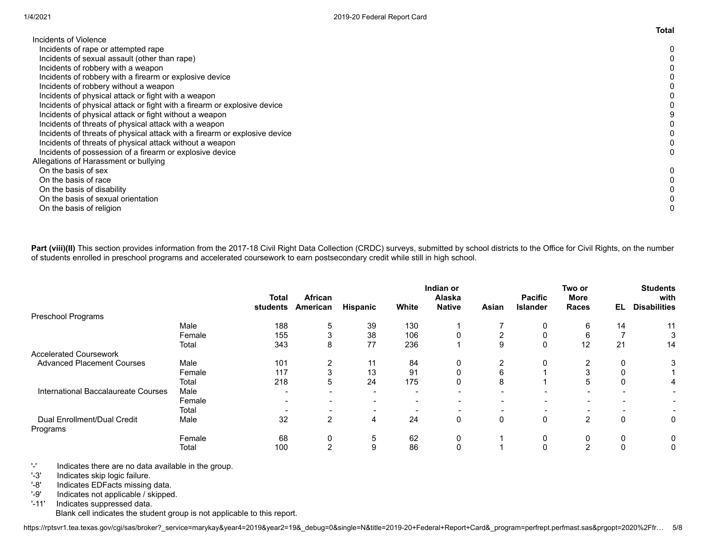|                                                                            | τοται |
|----------------------------------------------------------------------------|-------|
| Incidents of Violence                                                      |       |
| Incidents of rape or attempted rape                                        |       |
| Incidents of sexual assault (other than rape)                              |       |
| Incidents of robbery with a weapon                                         |       |
| Incidents of robbery with a firearm or explosive device                    |       |
| Incidents of robbery without a weapon                                      |       |
| Incidents of physical attack or fight with a weapon                        |       |
| Incidents of physical attack or fight with a firearm or explosive device   |       |
| Incidents of physical attack or fight without a weapon                     |       |
| Incidents of threats of physical attack with a weapon                      |       |
| Incidents of threats of physical attack with a firearm or explosive device |       |
| Incidents of threats of physical attack without a weapon                   |       |
| Incidents of possession of a firearm or explosive device                   |       |
| Allegations of Harassment or bullying                                      |       |
| On the basis of sex                                                        |       |
| On the basis of race                                                       |       |
| On the basis of disability                                                 |       |
| On the basis of sexual orientation                                         |       |
| On the basis of religion                                                   |       |
|                                                                            |       |

Part (viii)(II) This section provides information from the 2017-18 Civil Right Data Collection (CRDC) surveys, submitted by school districts to the Office for Civil Rights, on the number of students enrolled in preschool programs and accelerated coursework to earn postsecondary credit while still in high school.

|                                     |        |                          |                     |                 |       | Indian or               |                          |                                   | Two or                      |     | <b>Students</b>             |
|-------------------------------------|--------|--------------------------|---------------------|-----------------|-------|-------------------------|--------------------------|-----------------------------------|-----------------------------|-----|-----------------------------|
|                                     |        | <b>Total</b><br>students | African<br>American |                 | White | Alaska<br><b>Native</b> | Asian                    | <b>Pacific</b><br><b>Islander</b> | <b>More</b><br><b>Races</b> | EL. | with<br><b>Disabilities</b> |
| Preschool Programs                  |        |                          |                     | <b>Hispanic</b> |       |                         |                          |                                   |                             |     |                             |
|                                     | Male   | 188                      | 5                   | 39              | 130   |                         |                          |                                   | 6                           | 14  | 11                          |
|                                     | Female | 155                      | 3                   | 38              | 106   |                         | $\overline{2}$           |                                   | 6                           |     | 3                           |
|                                     | Total  | 343                      | 8                   | 77              | 236   |                         | 9                        |                                   | 12                          | 21  | 14                          |
| <b>Accelerated Coursework</b>       |        |                          |                     |                 |       |                         |                          |                                   |                             |     |                             |
| <b>Advanced Placement Courses</b>   | Male   | 101                      | $\overline{2}$      | 11              | 84    | $\mathbf{0}$            | 2                        |                                   |                             |     | 3                           |
|                                     | Female | 117                      | 3                   | 13              | 91    |                         | 6                        |                                   |                             |     |                             |
|                                     | Total  | 218                      | 5                   | 24              | 175   | 0                       | 8                        |                                   | 5                           | 0   | 4                           |
| International Baccalaureate Courses | Male   |                          |                     |                 |       |                         | $\overline{\phantom{0}}$ |                                   | $\overline{\phantom{a}}$    |     |                             |
|                                     | Female |                          |                     |                 |       |                         | $\overline{\phantom{0}}$ |                                   | $\overline{\phantom{0}}$    |     |                             |
|                                     | Total  |                          |                     |                 |       |                         |                          |                                   |                             |     |                             |
| Dual Enrollment/Dual Credit         | Male   | 32                       | 2                   | 4               | 24    | 0                       | 0                        | 0                                 | 2                           | 0   | $\mathbf 0$                 |
| Programs                            |        |                          |                     |                 |       |                         |                          |                                   |                             |     |                             |
|                                     | Female | 68                       | 0                   | 5               | 62    | $\mathbf{0}$            |                          |                                   |                             | 0   | 0                           |
|                                     | Total  | 100                      | $\overline{2}$      | 9               | 86    | 0                       |                          |                                   | $\sim$                      | 0   | 0                           |

'-' Indicates there are no data available in the group.

'-3' Indicates skip logic failure.

'-8' Indicates EDFacts missing data.

'-9' Indicates not applicable / skipped.

'-11' Indicates suppressed data. Blank cell indicates the student group is not applicable to this report. **Total**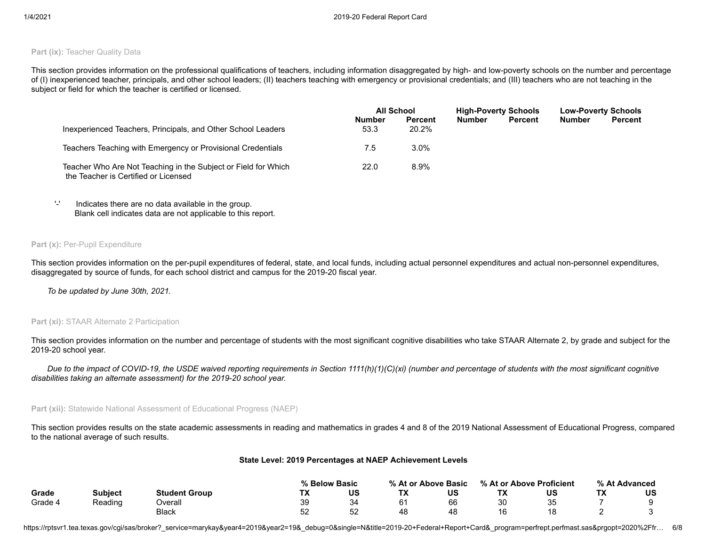#### **Part (ix): Teacher Quality Data**

This section provides information on the professional qualifications of teachers, including information disaggregated by high- and low-poverty schools on the number and percentage of (I) inexperienced teacher, principals, and other school leaders; (II) teachers teaching with emergency or provisional credentials; and (III) teachers who are not teaching in the subject or field for which the teacher is certified or licensed.

|                                                                                                        |                       | <b>All School</b>       |               | <b>High-Poverty Schools</b> |               | <b>Low-Poverty Schools</b> |  |
|--------------------------------------------------------------------------------------------------------|-----------------------|-------------------------|---------------|-----------------------------|---------------|----------------------------|--|
| Inexperienced Teachers, Principals, and Other School Leaders                                           | <b>Number</b><br>53.3 | <b>Percent</b><br>20.2% | <b>Number</b> | <b>Percent</b>              | <b>Number</b> | <b>Percent</b>             |  |
| Teachers Teaching with Emergency or Provisional Credentials                                            | 7.5                   | 3.0%                    |               |                             |               |                            |  |
| Teacher Who Are Not Teaching in the Subject or Field for Which<br>the Teacher is Certified or Licensed | 22.0                  | 8.9%                    |               |                             |               |                            |  |

'-' Indicates there are no data available in the group. Blank cell indicates data are not applicable to this report.

#### **Part (x): Per-Pupil Expenditure**

This section provides information on the per-pupil expenditures of federal, state, and local funds, including actual personnel expenditures and actual non-personnel expenditures, disaggregated by source of funds, for each school district and campus for the 2019-20 fiscal year.

*To be updated by June 30th, 2021.*

#### **Part (xi): STAAR Alternate 2 Participation**

This section provides information on the number and percentage of students with the most significant cognitive disabilities who take STAAR Alternate 2, by grade and subject for the 2019-20 school year.

*Due to the impact of COVID-19, the USDE waived reporting requirements in Section 1111(h)(1)(C)(xi) (number and percentage of students with the most significant cognitive disabilities taking an alternate assessment) for the 2019-20 school year.*

#### **Part (xii):** Statewide National Assessment of Educational Progress (NAEP)

This section provides results on the state academic assessments in reading and mathematics in grades 4 and 8 of the 2019 National Assessment of Educational Progress, compared to the national average of such results.

#### **State Level: 2019 Percentages at NAEP Achievement Levels**

|         |                |                      | % Below Basic |         |    | % At or Above Basic |            | % At or Above Proficient |    | % At Advanced |
|---------|----------------|----------------------|---------------|---------|----|---------------------|------------|--------------------------|----|---------------|
| Grade   | <b>Subiect</b> | <b>Student Group</b> | тv<br>. .     | US      | ТX | US                  | $\sqrt{ }$ | บร                       | ТX | บร            |
| Grade 4 | Reading        | <b>Dverall</b>       | 39            | ົ<br>⊬ب | 61 | 66                  | ٩N<br>ັບບ  | つに<br>◡                  |    |               |
|         |                | Black                | гr<br>ັ       | 52      | 48 | 48                  |            |                          |    |               |

https://rptsvr1.tea.texas.gov/cqi/sas/broker?\_service=marykay&year4=2019&year2=19&\_debug=0&single=N&title=2019-20+Federal+Report+Card&\_program=perfrept.perfmast.sas&prgopt=2020%2Ffr... 6/8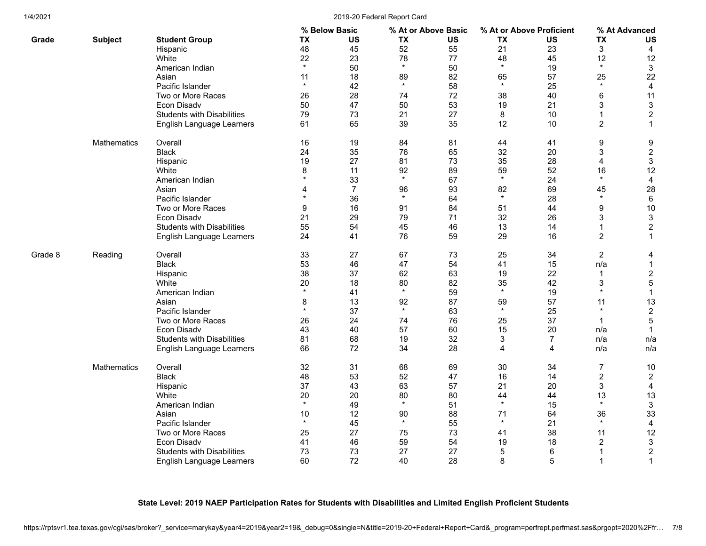#### 1/4/2021 2019-20 Federal Report Card

|         |                    |                                   |           | % Below Basic  | % At or Above Basic |           | % At or Above Proficient |                | % At Advanced  |                  |
|---------|--------------------|-----------------------------------|-----------|----------------|---------------------|-----------|--------------------------|----------------|----------------|------------------|
| Grade   | <b>Subject</b>     | <b>Student Group</b>              | <b>TX</b> | US             | <b>TX</b>           | <b>US</b> | <b>TX</b>                | US             | <b>TX</b>      | <b>US</b>        |
|         |                    | Hispanic                          | 48        | 45             | 52                  | 55        | 21                       | 23             | 3              | $\overline{4}$   |
|         |                    | White                             | 22        | 23             | 78                  | 77        | 48                       | 45             | 12             | 12               |
|         |                    | American Indian                   | $\star$   | 50             | $\star$             | 50        | $\star$                  | 19             | $\star$        | $\mathbf{3}$     |
|         |                    | Asian                             | 11        | 18             | 89                  | 82        | 65                       | 57             | 25             | 22               |
|         |                    | Pacific Islander                  | $\star$   | 42             | $\star$             | 58        | $\star$                  | 25             | $\star$        | $\overline{4}$   |
|         |                    | Two or More Races                 | 26        | 28             | 74                  | 72        | 38                       | 40             | 6              | 11               |
|         |                    | Econ Disadv                       | 50        | 47             | 50                  | 53        | 19                       | 21             | 3              | $\sqrt{3}$       |
|         |                    | <b>Students with Disabilities</b> | 79        | 73             | 21                  | 27        | 8                        | 10             | 1              | $\overline{c}$   |
|         |                    | English Language Learners         | 61        | 65             | 39                  | 35        | 12                       | 10             | $\overline{c}$ | $\mathbf{1}$     |
|         | <b>Mathematics</b> | Overall                           | 16        | 19             | 84                  | 81        | 44                       | 41             | 9              | 9                |
|         |                    | <b>Black</b>                      | 24        | 35             | 76                  | 65        | 32                       | 20             | 3              | $\overline{2}$   |
|         |                    | Hispanic                          | 19        | 27             | 81                  | 73        | 35                       | 28             | 4              | $\mathfrak{S}$   |
|         |                    | White                             | 8         | 11             | 92                  | 89        | 59                       | 52             | 16             | 12               |
|         |                    | American Indian                   | $\star$   | 33             | $\star$             | 67        | $\star$                  | 24             | $\star$        | $\overline{4}$   |
|         |                    | Asian                             | 4         | $\overline{7}$ | 96                  | 93        | 82                       | 69             | 45             | 28               |
|         |                    | Pacific Islander                  | $\star$   | 36             | $\star$             | 64        | $\star$                  | 28             | $\star$        | 6                |
|         |                    | Two or More Races                 | 9         | 16             | 91                  | 84        | 51                       | 44             | 9              | 10               |
|         |                    | Econ Disadv                       | 21        | 29             | 79                  | 71        | 32                       | 26             | 3              | $\sqrt{3}$       |
|         |                    | <b>Students with Disabilities</b> | 55        | 54             | 45                  | 46        | 13                       | 14             | $\mathbf{1}$   | $\boldsymbol{2}$ |
|         |                    | English Language Learners         | 24        | 41             | 76                  | 59        | 29                       | 16             | $\overline{c}$ | $\mathbf{1}$     |
| Grade 8 | Reading            | Overall                           | 33        | 27             | 67                  | 73        | 25                       | 34             | $\overline{c}$ | 4                |
|         |                    | <b>Black</b>                      | 53        | 46             | 47                  | 54        | 41                       | 15             | n/a            | $\mathbf{1}$     |
|         |                    | Hispanic                          | 38        | 37             | 62                  | 63        | 19                       | 22             | $\mathbf 1$    | $\overline{2}$   |
|         |                    | White                             | 20        | 18             | 80                  | 82        | 35                       | 42             | 3              | $\sqrt{5}$       |
|         |                    | American Indian                   | $\star$   | 41             | $\star$             | 59        | $\star$                  | 19             | $\star$        | $\mathbf{1}$     |
|         |                    | Asian                             | 8         | 13             | 92                  | 87        | 59                       | 57             | 11             | 13               |
|         |                    | Pacific Islander                  | $\star$   | 37             | $\star$             | 63        | $\star$                  | 25             | $\star$        | $\sqrt{2}$       |
|         |                    | Two or More Races                 | 26        | 24             | 74                  | 76        | 25                       | 37             | -1             | $\mathbf 5$      |
|         |                    | Econ Disadv                       | 43        | 40             | 57                  | 60        | 15                       | 20             | n/a            | $\mathbf{1}$     |
|         |                    | <b>Students with Disabilities</b> | 81        | 68             | 19                  | 32        | 3                        | $\overline{7}$ | n/a            | n/a              |
|         |                    | English Language Learners         | 66        | 72             | 34                  | 28        | 4                        | 4              | n/a            | n/a              |
|         | Mathematics        | Overall                           | 32        | 31             | 68                  | 69        | 30                       | 34             | $\overline{7}$ | 10               |
|         |                    | <b>Black</b>                      | 48        | 53             | 52                  | 47        | 16                       | 14             | $\overline{c}$ | $\overline{2}$   |
|         |                    | Hispanic                          | 37        | 43             | 63                  | 57        | 21                       | 20             | 3              | $\overline{4}$   |
|         |                    | White                             | 20        | 20             | 80                  | 80        | 44                       | 44             | 13             | 13               |
|         |                    | American Indian                   | $\star$   | 49             | $\star$             | 51        | $\star$                  | 15             | $\star$        | $\mathbf{3}$     |
|         |                    | Asian                             | 10        | 12             | 90                  | 88        | 71                       | 64             | 36             | 33               |
|         |                    | Pacific Islander                  | $\star$   | 45             | $\star$             | 55        | $\star$                  | 21             | $\star$        | $\overline{4}$   |
|         |                    | Two or More Races                 | 25        | 27             | 75                  | 73        | 41                       | 38             | 11             | 12               |
|         |                    | Econ Disadv                       | 41        | 46             | 59                  | 54        | 19                       | 18             | $\overline{c}$ | $\sqrt{3}$       |
|         |                    | <b>Students with Disabilities</b> | 73        | 73             | 27                  | 27        | 5                        | 6              |                | $\sqrt{2}$       |
|         |                    | English Language Learners         | 60        | 72             | 40                  | 28        | 8                        | 5              | 1              | $\mathbf{1}$     |

## **State Level: 2019 NAEP Participation Rates for Students with Disabilities and Limited English Proficient Students**